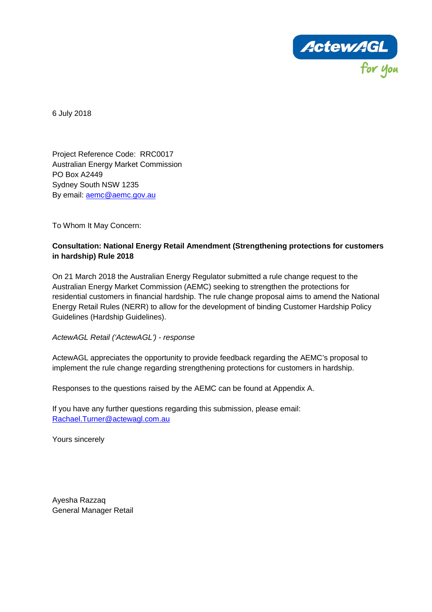

6 July 2018

Project Reference Code: RRC0017 Australian Energy Market Commission PO Box A2449 Sydney South NSW 1235 By email: [aemc@aemc.gov.au](mailto:aemc@aemc.gov.au)

To Whom It May Concern:

#### **Consultation: National Energy Retail Amendment (Strengthening protections for customers in hardship) Rule 2018**

On 21 March 2018 the Australian Energy Regulator submitted a rule change request to the Australian Energy Market Commission (AEMC) seeking to strengthen the protections for residential customers in financial hardship. The rule change proposal aims to amend the National Energy Retail Rules (NERR) to allow for the development of binding Customer Hardship Policy Guidelines (Hardship Guidelines).

*ActewAGL Retail ('ActewAGL') - response*

ActewAGL appreciates the opportunity to provide feedback regarding the AEMC's proposal to implement the rule change regarding strengthening protections for customers in hardship.

Responses to the questions raised by the AEMC can be found at Appendix A.

If you have any further questions regarding this submission, please email: [Rachael.Turner@actewagl.com.au](mailto:Rachael.Turner@actewagl.com.au)

Yours sincerely

Ayesha Razzaq General Manager Retail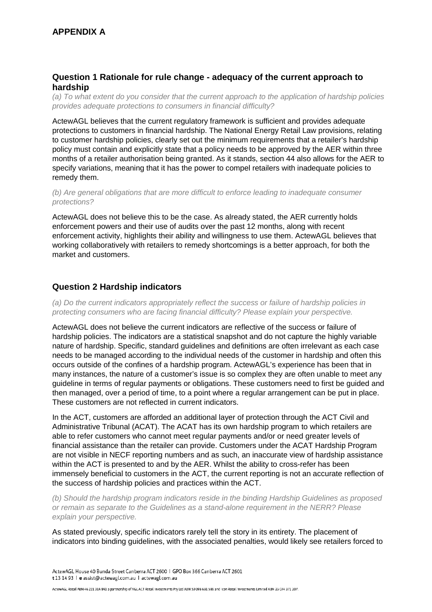#### **Question 1 Rationale for rule change - adequacy of the current approach to hardship**

*(a) To what extent do you consider that the current approach to the application of hardship policies provides adequate protections to consumers in financial difficulty?*

ActewAGL believes that the current regulatory framework is sufficient and provides adequate protections to customers in financial hardship. The National Energy Retail Law provisions, relating to customer hardship policies, clearly set out the minimum requirements that a retailer's hardship policy must contain and explicitly state that a policy needs to be approved by the AER within three months of a retailer authorisation being granted. As it stands, section 44 also allows for the AER to specify variations, meaning that it has the power to compel retailers with inadequate policies to remedy them.

*(b) Are general obligations that are more difficult to enforce leading to inadequate consumer protections?*

ActewAGL does not believe this to be the case. As already stated, the AER currently holds enforcement powers and their use of audits over the past 12 months, along with recent enforcement activity, highlights their ability and willingness to use them. ActewAGL believes that working collaboratively with retailers to remedy shortcomings is a better approach, for both the market and customers.

## **Question 2 Hardship indicators**

*(a) Do the current indicators appropriately reflect the success or failure of hardship policies in protecting consumers who are facing financial difficulty? Please explain your perspective.*

ActewAGL does not believe the current indicators are reflective of the success or failure of hardship policies. The indicators are a statistical snapshot and do not capture the highly variable nature of hardship. Specific, standard guidelines and definitions are often irrelevant as each case needs to be managed according to the individual needs of the customer in hardship and often this occurs outside of the confines of a hardship program. ActewAGL's experience has been that in many instances, the nature of a customer's issue is so complex they are often unable to meet any guideline in terms of regular payments or obligations. These customers need to first be guided and then managed, over a period of time, to a point where a regular arrangement can be put in place. These customers are not reflected in current indicators.

In the ACT, customers are afforded an additional layer of protection through the ACT Civil and Administrative Tribunal (ACAT). The ACAT has its own hardship program to which retailers are able to refer customers who cannot meet regular payments and/or or need greater levels of financial assistance than the retailer can provide. Customers under the ACAT Hardship Program are not visible in NECF reporting numbers and as such, an inaccurate view of hardship assistance within the ACT is presented to and by the AER. Whilst the ability to cross-refer has been immensely beneficial to customers in the ACT, the current reporting is not an accurate reflection of the success of hardship policies and practices within the ACT.

*(b) Should the hardship program indicators reside in the binding Hardship Guidelines as proposed or remain as separate to the Guidelines as a stand-alone requirement in the NERR? Please explain your perspective.*

As stated previously, specific indicators rarely tell the story in its entirety. The placement of indicators into binding guidelines, with the associated penalties, would likely see retailers forced to

ActewAGL House 40 Bunda Street Canberra ACT 2600 | GPO Box 366 Canberra ACT 2601 t 13 14 93 | e assist@actewagl.com.au | actewagl.com.au

ActewAGL Retail ABN 46 221 314 841 a partnership of AGL ACT Retail Investments Pty Ltd ABN 53 093 631 586 and Icon Retail Investments Limited ABN 23 074 371 207.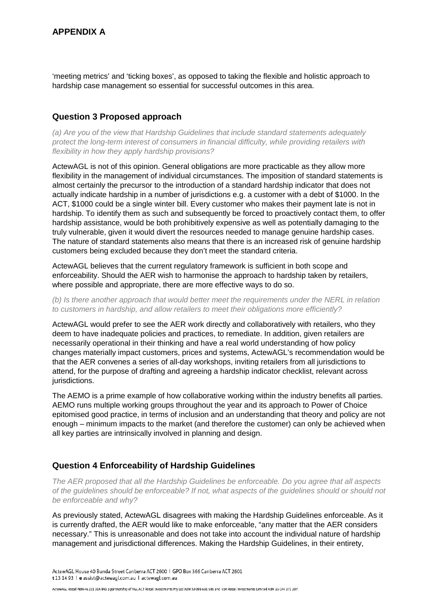'meeting metrics' and 'ticking boxes', as opposed to taking the flexible and holistic approach to hardship case management so essential for successful outcomes in this area.

### **Question 3 Proposed approach**

*(a) Are you of the view that Hardship Guidelines that include standard statements adequately protect the long-term interest of consumers in financial difficulty, while providing retailers with flexibility in how they apply hardship provisions?*

ActewAGL is not of this opinion. General obligations are more practicable as they allow more flexibility in the management of individual circumstances. The imposition of standard statements is almost certainly the precursor to the introduction of a standard hardship indicator that does not actually indicate hardship in a number of jurisdictions e.g. a customer with a debt of \$1000. In the ACT, \$1000 could be a single winter bill. Every customer who makes their payment late is not in hardship. To identify them as such and subsequently be forced to proactively contact them, to offer hardship assistance, would be both prohibitively expensive as well as potentially damaging to the truly vulnerable, given it would divert the resources needed to manage genuine hardship cases. The nature of standard statements also means that there is an increased risk of genuine hardship customers being excluded because they don't meet the standard criteria.

ActewAGL believes that the current regulatory framework is sufficient in both scope and enforceability. Should the AER wish to harmonise the approach to hardship taken by retailers, where possible and appropriate, there are more effective ways to do so.

*(b) Is there another approach that would better meet the requirements under the NERL in relation to customers in hardship, and allow retailers to meet their obligations more efficiently?*

ActewAGL would prefer to see the AER work directly and collaboratively with retailers, who they deem to have inadequate policies and practices, to remediate. In addition, given retailers are necessarily operational in their thinking and have a real world understanding of how policy changes materially impact customers, prices and systems, ActewAGL's recommendation would be that the AER convenes a series of all-day workshops, inviting retailers from all jurisdictions to attend, for the purpose of drafting and agreeing a hardship indicator checklist, relevant across jurisdictions.

The AEMO is a prime example of how collaborative working within the industry benefits all parties. AEMO runs multiple working groups throughout the year and its approach to Power of Choice epitomised good practice, in terms of inclusion and an understanding that theory and policy are not enough – minimum impacts to the market (and therefore the customer) can only be achieved when all key parties are intrinsically involved in planning and design.

#### **Question 4 Enforceability of Hardship Guidelines**

*The AER proposed that all the Hardship Guidelines be enforceable. Do you agree that all aspects of the guidelines should be enforceable? If not, what aspects of the guidelines should or should not be enforceable and why?*

As previously stated, ActewAGL disagrees with making the Hardship Guidelines enforceable. As it is currently drafted, the AER would like to make enforceable, "any matter that the AER considers necessary." This is unreasonable and does not take into account the individual nature of hardship management and jurisdictional differences. Making the Hardship Guidelines, in their entirety,

ActewAGL Retail ABN 46 221 314 841 a partnership of AGL ACT Retail Investments Pty Ltd ABN 53 093 631 586 and Icon Retail Investments Limited ABN 23 074 371 207.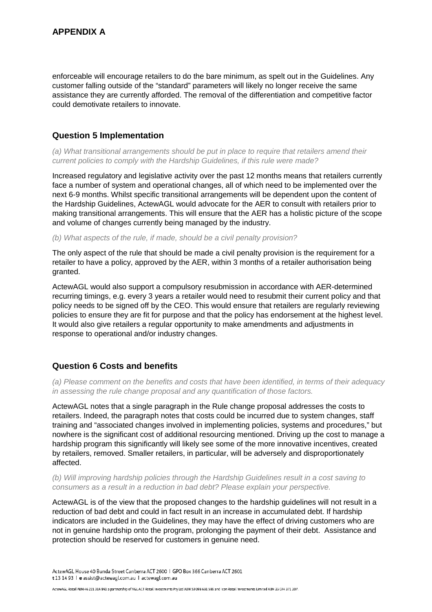enforceable will encourage retailers to do the bare minimum, as spelt out in the Guidelines. Any customer falling outside of the "standard" parameters will likely no longer receive the same assistance they are currently afforded. The removal of the differentiation and competitive factor could demotivate retailers to innovate.

# **Question 5 Implementation**

*(a) What transitional arrangements should be put in place to require that retailers amend their current policies to comply with the Hardship Guidelines, if this rule were made?*

Increased regulatory and legislative activity over the past 12 months means that retailers currently face a number of system and operational changes, all of which need to be implemented over the next 6-9 months. Whilst specific transitional arrangements will be dependent upon the content of the Hardship Guidelines, ActewAGL would advocate for the AER to consult with retailers prior to making transitional arrangements. This will ensure that the AER has a holistic picture of the scope and volume of changes currently being managed by the industry.

*(b) What aspects of the rule, if made, should be a civil penalty provision?*

The only aspect of the rule that should be made a civil penalty provision is the requirement for a retailer to have a policy, approved by the AER, within 3 months of a retailer authorisation being granted.

ActewAGL would also support a compulsory resubmission in accordance with AER-determined recurring timings, e.g. every 3 years a retailer would need to resubmit their current policy and that policy needs to be signed off by the CEO. This would ensure that retailers are regularly reviewing policies to ensure they are fit for purpose and that the policy has endorsement at the highest level. It would also give retailers a regular opportunity to make amendments and adjustments in response to operational and/or industry changes.

# **Question 6 Costs and benefits**

*(a) Please comment on the benefits and costs that have been identified, in terms of their adequacy in assessing the rule change proposal and any quantification of those factors.*

ActewAGL notes that a single paragraph in the Rule change proposal addresses the costs to retailers. Indeed, the paragraph notes that costs could be incurred due to system changes, staff training and "associated changes involved in implementing policies, systems and procedures," but nowhere is the significant cost of additional resourcing mentioned. Driving up the cost to manage a hardship program this significantly will likely see some of the more innovative incentives, created by retailers, removed. Smaller retailers, in particular, will be adversely and disproportionately affected.

#### *(b) Will improving hardship policies through the Hardship Guidelines result in a cost saving to consumers as a result in a reduction in bad debt? Please explain your perspective.*

ActewAGL is of the view that the proposed changes to the hardship guidelines will not result in a reduction of bad debt and could in fact result in an increase in accumulated debt. If hardship indicators are included in the Guidelines, they may have the effect of driving customers who are not in genuine hardship onto the program, prolonging the payment of their debt. Assistance and protection should be reserved for customers in genuine need.

ActewAGL House 40 Bunda Street Canberra ACT 2600 | GPO Box 366 Canberra ACT 2601 t 13 14 93 | e assist@actewagl.com.au | actewagl.com.au

ActewAGL Retail ABN 46 221 314 841 a partnership of AGL ACT Retail Investments Pty Ltd ABN 53 093 631 586 and Icon Retail Investments Limited ABN 23 074 371 207